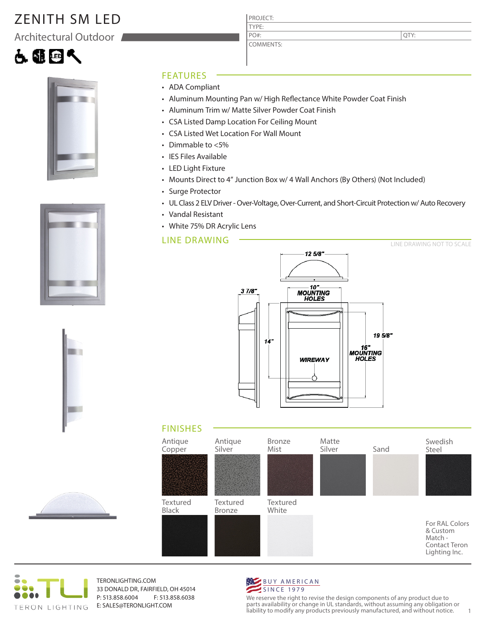# ZENITH SM LED

Architectural Outdoor











### FEATURES

- ADA Compliant
- Aluminum Mounting Pan w/ High Reflectance White Powder Coat Finish
- Aluminum Trim w/ Matte Silver Powder Coat Finish

PROJECT: TYPE:

PO#:

COMMENTS:

- CSA Listed Damp Location For Ceiling Mount
- CSA Listed Wet Location For Wall Mount
- Dimmable to <5%
- IES Files Available
- LED Light Fixture
- Mounts Direct to 4" Junction Box w/ 4 Wall Anchors (By Others) (Not Included)
- Surge Protector
- UL Class 2 ELV Driver Over-Voltage, Over-Current, and Short-Circuit Protection w/ Auto Recovery
- Vandal Resistant
- White 75% DR Acrylic Lens

## LINE DRAWING









TERONLIGHTING.COM 33 DONALD DR, FAIRFIELD, OH 45014 P: 513.858.6004 F: 513.858.6038 E: SALES@TERONLIGHT.COM



We reserve the right to revise the design components of any product due to parts availability or change in UL standards, without assuming any obligation or liability to modify any products previously manufactured, and without notice. 1

QTY: